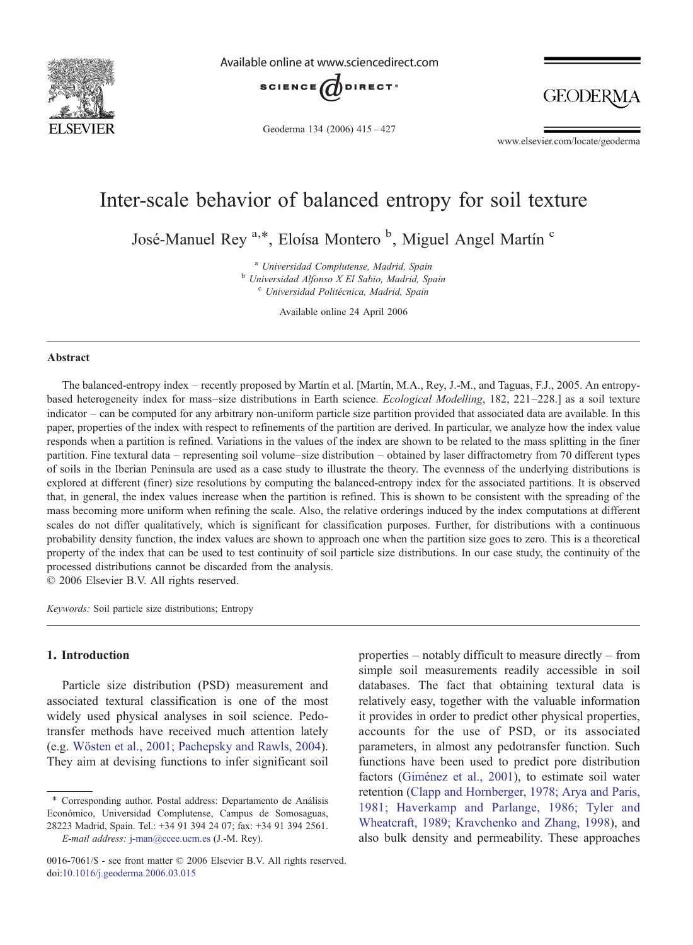

Available online at www.sciencedirect.com



Geoderma 134 (2006) 415–427

**GEODERM** 

www.elsevier.com/locate/geoderma

# Inter-scale behavior of balanced entropy for soil texture

José-Manuel Rey<sup>a,\*</sup>, Eloísa Montero<sup>b</sup>, Miguel Angel Martín<sup>c</sup>

<sup>a</sup> Universidad Complutense, Madrid, Spain<br><sup>b</sup> Universidad Alfonso X El Sabio, Madrid, Spain <sup>c</sup> Universidad Politécnica, Madrid, Spain

Available online 24 April 2006

### Abstract

The balanced-entropy index – recently proposed by Martín et al. [Martín, M.A., Rey, J.-M., and Taguas, F.J., 2005. An entropybased heterogeneity index for mass–size distributions in Earth science. Ecological Modelling, 182, 221–228.] as a soil texture indicator – can be computed for any arbitrary non-uniform particle size partition provided that associated data are available. In this paper, properties of the index with respect to refinements of the partition are derived. In particular, we analyze how the index value responds when a partition is refined. Variations in the values of the index are shown to be related to the mass splitting in the finer partition. Fine textural data – representing soil volume–size distribution – obtained by laser diffractometry from 70 different types of soils in the Iberian Peninsula are used as a case study to illustrate the theory. The evenness of the underlying distributions is explored at different (finer) size resolutions by computing the balanced-entropy index for the associated partitions. It is observed that, in general, the index values increase when the partition is refined. This is shown to be consistent with the spreading of the mass becoming more uniform when refining the scale. Also, the relative orderings induced by the index computations at different scales do not differ qualitatively, which is significant for classification purposes. Further, for distributions with a continuous probability density function, the index values are shown to approach one when the partition size goes to zero. This is a theoretical property of the index that can be used to test continuity of soil particle size distributions. In our case study, the continuity of the processed distributions cannot be discarded from the analysis.

© 2006 Elsevier B.V. All rights reserved.

Keywords: Soil particle size distributions; Entropy

### 1. Introduction

Particle size distribution (PSD) measurement and associated textural classification is one of the most widely used physical analyses in soil science. Pedotransfer methods have received much attention lately (e.g. [Wösten et al., 2001; Pachepsky and Rawls, 2004](#page-12-0)). They aim at devising functions to infer significant soil properties – notably difficult to measure directly – from simple soil measurements readily accessible in soil databases. The fact that obtaining textural data is relatively easy, together with the valuable information it provides in order to predict other physical properties, accounts for the use of PSD, or its associated parameters, in almost any pedotransfer function. Such functions have been used to predict pore distribution factors [\(Giménez et al., 2001\)](#page-12-0), to estimate soil water retention ([Clapp and Hornberger, 1978; Arya and Paris,](#page-12-0) [1981; Haverkamp and Parlange, 1986; Tyler and](#page-12-0) [Wheatcraft, 1989; Kravchenko and Zhang, 1998](#page-12-0)), and also bulk density and permeability. These approaches

<sup>⁎</sup> Corresponding author. Postal address: Departamento de Análisis Económico, Universidad Complutense, Campus de Somosaguas, 28223 Madrid, Spain. Tel.: +34 91 394 24 07; fax: +34 91 394 2561.

E-mail address: [j-man@ccee.ucm.es](mailto:jan@ccee.ucm.es) (J.-M. Rey).

<sup>0016-7061/\$ -</sup> see front matter © 2006 Elsevier B.V. All rights reserved. [doi:10.1016/j.geoderma.2006.03.015](http://dx.doi.org/10.1016/j.geoderma.2006.03.015)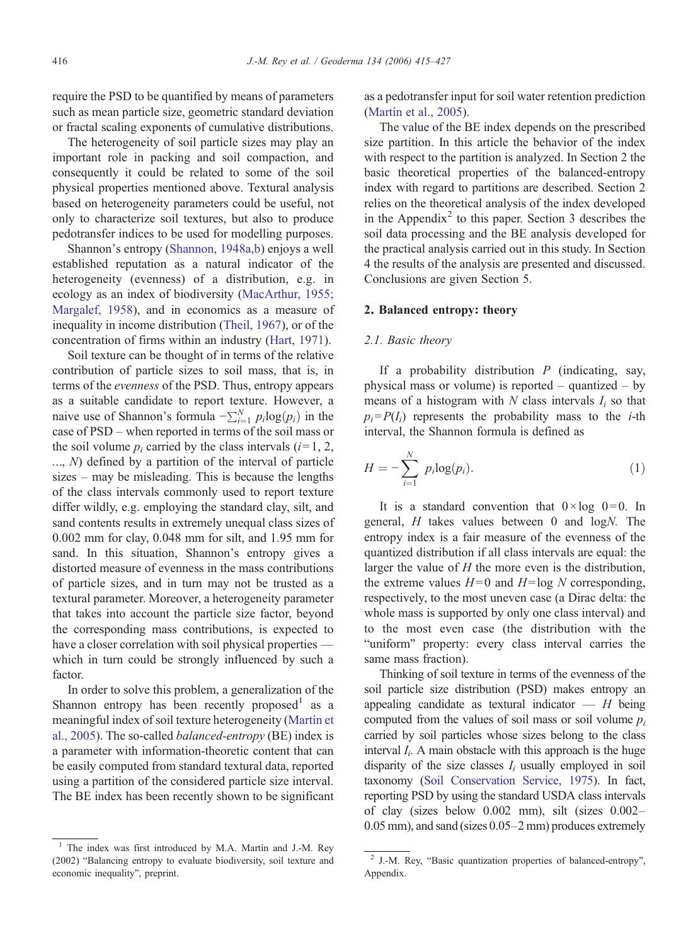require the PSD to be quantified by means of parameters such as mean particle size, geometric standard deviation or fractal scaling exponents of cumulative distributions.

The heterogeneity of soil particle sizes may play an important role in packing and soil compaction, and consequently it could be related to some of the soil physical properties mentioned above. Textural analysis based on heterogeneity parameters could be useful, not only to characterize soil textures, but also to produce pedotransfer indices to be used for modelling purposes.

Shannon's entropy [\(Shannon, 1948a,b\)](#page-12-0) enjoys a well established reputation as a natural indicator of the heterogeneity (evenness) of a distribution, e.g. in ecology as an index of biodiversity [\(MacArthur, 1955;](#page-12-0) [Margalef, 1958](#page-12-0)), and in economics as a measure of inequality in income distribution ([Theil, 1967](#page-12-0)), or of the concentration of firms within an industry ([Hart, 1971\)](#page-12-0).

Soil texture can be thought of in terms of the relative contribution of particle sizes to soil mass, that is, in terms of the evenness of the PSD. Thus, entropy appears as a suitable candidate to report texture. However, a naive use of Shannon's formula  $-\sum_{i=1}^{N} p_i \log(p_i)$  in the case of PSD – when reported in terms of the soil mass or case of PSD – when reported in terms of the soil mass or the soil volume  $p_i$  carried by the class intervals ( $i=1, 2,$ )  $..., N$ ) defined by a partition of the interval of particle sizes – may be misleading. This is because the lengths of the class intervals commonly used to report texture differ wildly, e.g. employing the standard clay, silt, and sand contents results in extremely unequal class sizes of 0.002 mm for clay, 0.048 mm for silt, and 1.95 mm for sand. In this situation, Shannon's entropy gives a distorted measure of evenness in the mass contributions of particle sizes, and in turn may not be trusted as a textural parameter. Moreover, a heterogeneity parameter that takes into account the particle size factor, beyond the corresponding mass contributions, is expected to have a closer correlation with soil physical properties which in turn could be strongly influenced by such a factor.

In order to solve this problem, a generalization of the Shannon entropy has been recently proposed<sup>1</sup> as a meaningful index of soil texture heterogeneity [\(Martín et](#page-12-0) [al., 2005](#page-12-0)). The so-called balanced-entropy (BE) index is a parameter with information-theoretic content that can be easily computed from standard textural data, reported using a partition of the considered particle size interval. The BE index has been recently shown to be significant as a pedotransfer input for soil water retention prediction [\(Martín et al., 2005](#page-12-0)).

The value of the BE index depends on the prescribed size partition. In this article the behavior of the index with respect to the partition is analyzed. In Section 2 the basic theoretical properties of the balanced-entropy index with regard to partitions are described. Section 2 relies on the theoretical analysis of the index developed in the Appendix<sup>2</sup> to this paper. Section 3 describes the soil data processing and the BE analysis developed for the practical analysis carried out in this study. In Section 4 the results of the analysis are presented and discussed. Conclusions are given Section 5.

# 2. Balanced entropy: theory

## 2.1. Basic theory

If a probability distribution  $P$  (indicating, say, physical mass or volume) is reported – quantized – by means of a histogram with  $N$  class intervals  $I_i$  so that  $p_i = P(I_i)$  represents the probability mass to the *i*-th interval, the Shannon formula is defined as

$$
H = -\sum_{i=1}^{N} p_i \log(p_i). \tag{1}
$$

It is a standard convention that  $0 \times \log 0 = 0$ . In general, H takes values between 0 and logN. The entropy index is a fair measure of the evenness of the quantized distribution if all class intervals are equal: the larger the value of  $H$  the more even is the distribution, the extreme values  $H=0$  and  $H=log N$  corresponding, respectively, to the most uneven case (a Dirac delta: the whole mass is supported by only one class interval) and to the most even case (the distribution with the "uniform" property: every class interval carries the same mass fraction).

Thinking of soil texture in terms of the evenness of the soil particle size distribution (PSD) makes entropy an appealing candidate as textural indicator  $- H$  being computed from the values of soil mass or soil volume  $p_i$ carried by soil particles whose sizes belong to the class interval  $I_i$ . A main obstacle with this approach is the huge disparity of the size classes  $I_i$  usually employed in soil taxonomy [\(Soil Conservation Service, 1975](#page-12-0)). In fact, reporting PSD by using the standard USDA class intervals of clay (sizes below 0.002 mm), silt (sizes 0.002– 0.05 mm), and sand (sizes 0.05–2 mm) produces extremely

<sup>&</sup>lt;sup>1</sup> The index was first introduced by M.A. Martín and J.-M. Rey (2002) "Balancing entropy to evaluate biodiversity, soil texture and economic inequality", preprint.

<sup>2</sup> J.-M. Rey, "Basic quantization properties of balanced-entropy", Appendix.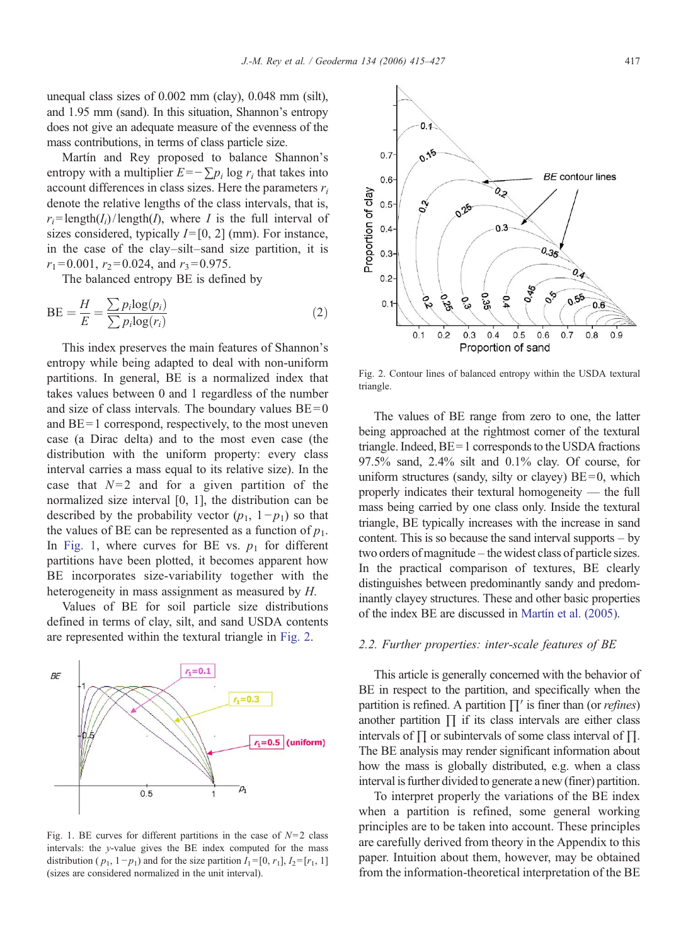unequal class sizes of 0.002 mm (clay), 0.048 mm (silt), and 1.95 mm (sand). In this situation, Shannon's entropy does not give an adequate measure of the evenness of the mass contributions, in terms of class particle size.

Martín and Rey proposed to balance Shannon's entropy with a multiplier  $E=-\sum p_i \log r_i$  that takes into account differences in class sizes. Here the parameters  $r_i$ denote the relative lengths of the class intervals, that is,  $r_i = \text{length}(I_i)/\text{length}(I)$ , where I is the full interval of sizes considered, typically  $I=[0, 2]$  (mm). For instance, in the case of the clay–silt–sand size partition, it is  $r_1 = 0.001$ ,  $r_2 = 0.024$ , and  $r_3 = 0.975$ .

The balanced entropy BE is defined by

$$
BE = \frac{H}{E} = \frac{\sum p_i \log(p_i)}{\sum p_i \log(r_i)}
$$
(2)

This index preserves the main features of Shannon's entropy while being adapted to deal with non-uniform partitions. In general, BE is a normalized index that takes values between 0 and 1 regardless of the number and size of class intervals. The boundary values  $BE = 0$ and  $BE = 1$  correspond, respectively, to the most uneven case (a Dirac delta) and to the most even case (the distribution with the uniform property: every class interval carries a mass equal to its relative size). In the case that  $N=2$  and for a given partition of the normalized size interval [0, 1], the distribution can be described by the probability vector  $(p_1, 1-p_1)$  so that the values of BE can be represented as a function of  $p_1$ . In Fig. 1, where curves for BE vs.  $p_1$  for different partitions have been plotted, it becomes apparent how BE incorporates size-variability together with the heterogeneity in mass assignment as measured by H.

Values of BE for soil particle size distributions defined in terms of clay, silt, and sand USDA contents are represented within the textural triangle in Fig. 2.



Fig. 1. BE curves for different partitions in the case of  $N=2$  class intervals: the y-value gives the BE index computed for the mass distribution ( $p_1$ , 1− $p_1$ ) and for the size partition  $I_1$ =[0,  $r_1$ ],  $I_2$ =[ $r_1$ , 1] (sizes are considered normalized in the unit interval).



Fig. 2. Contour lines of balanced entropy within the USDA textural triangle.

The values of BE range from zero to one, the latter being approached at the rightmost corner of the textural triangle. Indeed, BE= 1 corresponds to the USDA fractions 97.5% sand, 2.4% silt and 0.1% clay. Of course, for uniform structures (sandy, silty or clayey)  $BE = 0$ , which properly indicates their textural homogeneity — the full mass being carried by one class only. Inside the textural triangle, BE typically increases with the increase in sand content. This is so because the sand interval supports – by two orders of magnitude– the widest class of particle sizes. In the practical comparison of textures, BE clearly distinguishes between predominantly sandy and predominantly clayey structures. These and other basic properties of the index BE are discussed in [Martín et al. \(2005\).](#page-12-0)

#### 2.2. Further properties: inter-scale features of BE

This article is generally concerned with the behavior of BE in respect to the partition, and specifically when the partition is refined. A partition  $\prod'$  is finer than (or *refines*) another partition  $\prod$  if its class intervals are either class intervals of ∏ or subintervals of some class interval of ∏. The BE analysis may render significant information about how the mass is globally distributed, e.g. when a class interval is further divided to generate a new (finer) partition.

To interpret properly the variations of the BE index when a partition is refined, some general working principles are to be taken into account. These principles are carefully derived from theory in the Appendix to this paper. Intuition about them, however, may be obtained from the information-theoretical interpretation of the BE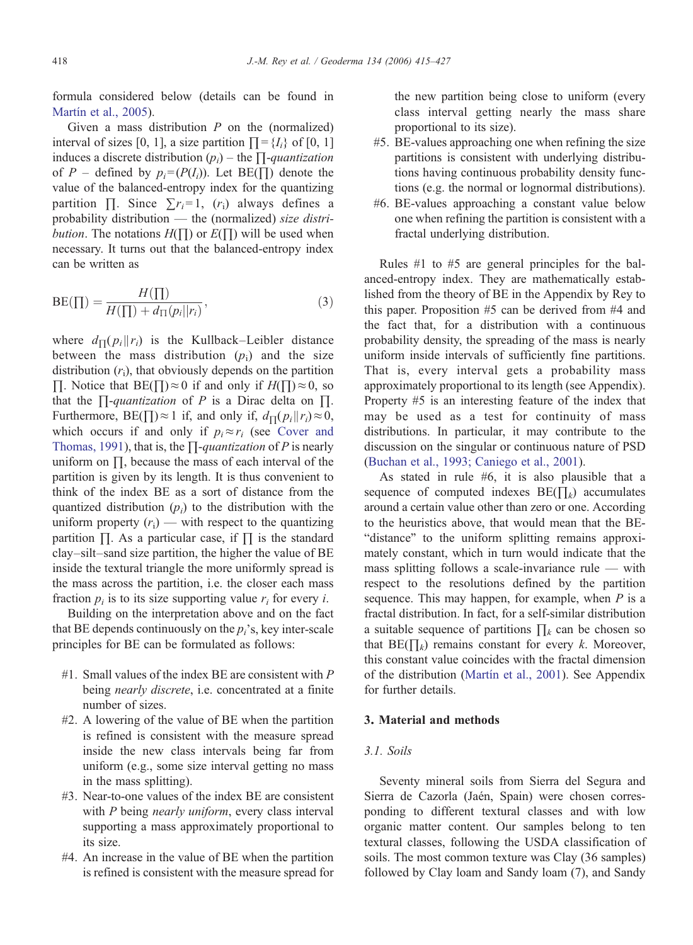formula considered below (details can be found in [Martín et al., 2005](#page-12-0)).

Given a mass distribution  $P$  on the (normalized) interval of sizes [0, 1], a size partition  $\Pi = \{I_i\}$  of [0, 1] induces a discrete distribution  $(p_i)$  – the  $\prod$ -quantization of P – defined by  $p_i = (P(I_i))$ . Let BE( $\Pi$ ) denote the value of the balanced-entropy index for the quantizing partition  $\Pi$ . Since  $\sum r_i = 1$ ,  $(r_i)$  always defines a probability distribution — the (normalized) size distri*bution*. The notations  $H(\Pi)$  or  $E(\Pi)$  will be used when necessary. It turns out that the balanced-entropy index can be written as

$$
BE(\Pi) = \frac{H(\Pi)}{H(\Pi) + d_{\Pi}(p_i||r_i)},
$$
\n(3)

where  $d_{\Pi}(p_i || r_i)$  is the Kullback–Leibler distance between the mass distribution  $(p_i)$  and the size distribution  $(r_i)$ , that obviously depends on the partition ∏. Notice that BE( $\Box$ )≈0 if and only if  $H(\Box) \approx 0$ , so that the  $\prod$ -quantization of P is a Dirac delta on  $\Pi$ . Furthermore, BE( $\prod$ )≈1 if, and only if,  $d_{\prod}(p_i || r_i) \approx 0$ , which occurs if and only if  $p_i \approx r_i$  (see [Cover and](#page-12-0) [Thomas, 1991\)](#page-12-0), that is, the  $\Pi$ -quantization of P is nearly uniform on ∏, because the mass of each interval of the partition is given by its length. It is thus convenient to think of the index BE as a sort of distance from the quantized distribution  $(p_i)$  to the distribution with the uniform property  $(r_i)$  — with respect to the quantizing partition ∏. As a particular case, if ∏ is the standard clay–silt–sand size partition, the higher the value of BE inside the textural triangle the more uniformly spread is the mass across the partition, i.e. the closer each mass fraction  $p_i$  is to its size supporting value  $r_i$  for every *i*.

Building on the interpretation above and on the fact that BE depends continuously on the  $p_i$ 's, key inter-scale principles for BE can be formulated as follows:

- $#1$ . Small values of the index BE are consistent with P being *nearly discrete*, i.e. concentrated at a finite number of sizes.
- #2. A lowering of the value of BE when the partition is refined is consistent with the measure spread inside the new class intervals being far from uniform (e.g., some size interval getting no mass in the mass splitting).
- #3. Near-to-one values of the index BE are consistent with P being nearly uniform, every class interval supporting a mass approximately proportional to its size.
- #4. An increase in the value of BE when the partition is refined is consistent with the measure spread for

the new partition being close to uniform (every class interval getting nearly the mass share proportional to its size).

- #5. BE-values approaching one when refining the size partitions is consistent with underlying distributions having continuous probability density functions (e.g. the normal or lognormal distributions).
- #6. BE-values approaching a constant value below one when refining the partition is consistent with a fractal underlying distribution.

Rules #1 to #5 are general principles for the balanced-entropy index. They are mathematically established from the theory of BE in the Appendix by Rey to this paper. Proposition #5 can be derived from #4 and the fact that, for a distribution with a continuous probability density, the spreading of the mass is nearly uniform inside intervals of sufficiently fine partitions. That is, every interval gets a probability mass approximately proportional to its length (see Appendix). Property #5 is an interesting feature of the index that may be used as a test for continuity of mass distributions. In particular, it may contribute to the discussion on the singular or continuous nature of PSD [\(Buchan et al., 1993; Caniego et al., 2001\)](#page-12-0).

As stated in rule #6, it is also plausible that a sequence of computed indexes  $BE(\prod_k)$  accumulates around a certain value other than zero or one. According to the heuristics above, that would mean that the BE- "distance" to the uniform splitting remains approximately constant, which in turn would indicate that the mass splitting follows a scale-invariance rule — with respect to the resolutions defined by the partition sequence. This may happen, for example, when  $P$  is a fractal distribution. In fact, for a self-similar distribution a suitable sequence of partitions  $\prod_k$  can be chosen so that BE( $\prod_k$ ) remains constant for every k. Moreover, this constant value coincides with the fractal dimension of the distribution [\(Martín et al., 2001](#page-12-0)). See Appendix for further details.

#### 3. Material and methods

## 3.1. Soils

Seventy mineral soils from Sierra del Segura and Sierra de Cazorla (Jaén, Spain) were chosen corresponding to different textural classes and with low organic matter content. Our samples belong to ten textural classes, following the USDA classification of soils. The most common texture was Clay (36 samples) followed by Clay loam and Sandy loam (7), and Sandy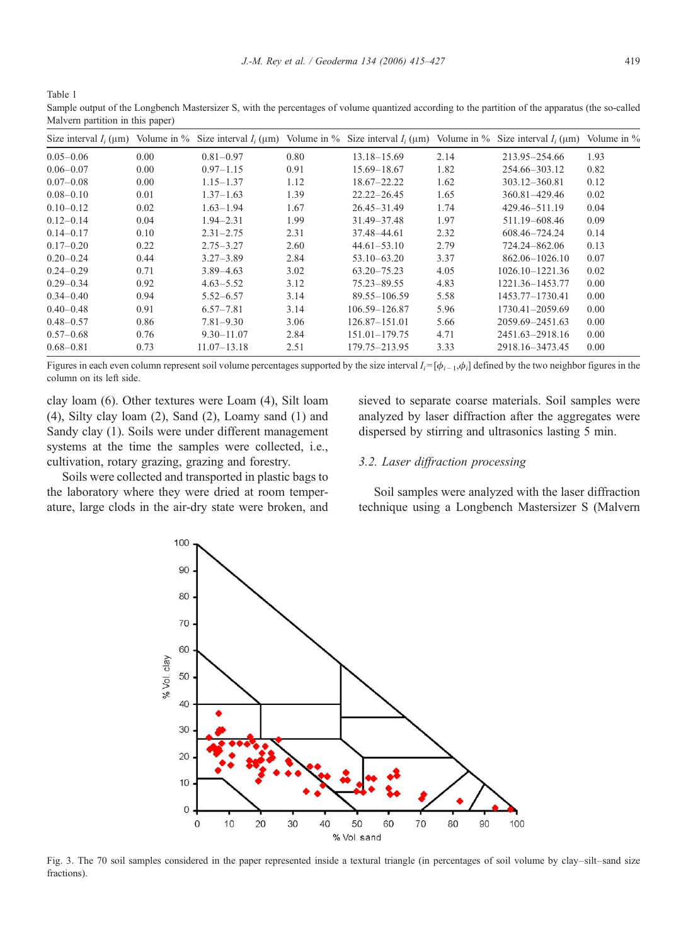<span id="page-4-0"></span>Table 1

Sample output of the Longbench Mastersizer S, with the percentages of volume quantized according to the partition of the apparatus (the so-called Malvern partition in this paper)

| Size interval $I_i$ ( $\mu$ m) |      |                 |      |                   |      | Volume in % Size interval $I_i$ (um) Volume in % Size interval $I_i$ (um) Volume in % Size interval $I_i$ (um) | Volume in $%$ |
|--------------------------------|------|-----------------|------|-------------------|------|----------------------------------------------------------------------------------------------------------------|---------------|
| $0.05 - 0.06$                  | 0.00 | $0.81 - 0.97$   | 0.80 | $13.18 - 15.69$   | 2.14 | 213.95-254.66                                                                                                  | 1.93          |
| $0.06 - 0.07$                  | 0.00 | $0.97 - 1.15$   | 0.91 | 15.69 - 18.67     | 1.82 | 254.66-303.12                                                                                                  | 0.82          |
| $0.07 - 0.08$                  | 0.00 | $1.15 - 1.37$   | 1.12 | $18.67 - 22.22$   | 1.62 | 303.12-360.81                                                                                                  | 0.12          |
| $0.08 - 0.10$                  | 0.01 | $1.37 - 1.63$   | 1.39 | $22.22 - 26.45$   | 1.65 | 360.81-429.46                                                                                                  | 0.02          |
| $0.10 - 0.12$                  | 0.02 | $1.63 - 1.94$   | 1.67 | $26.45 - 31.49$   | 1.74 | 429.46-511.19                                                                                                  | 0.04          |
| $0.12 - 0.14$                  | 0.04 | $1.94 - 2.31$   | 1.99 | 31.49 - 37.48     | 1.97 | 511.19-608.46                                                                                                  | 0.09          |
| $0.14 - 0.17$                  | 0.10 | $2.31 - 2.75$   | 2.31 | 37.48-44.61       | 2.32 | 608.46-724.24                                                                                                  | 0.14          |
| $0.17 - 0.20$                  | 0.22 | $2.75 - 3.27$   | 2.60 | $44.61 - 53.10$   | 2.79 | 724.24-862.06                                                                                                  | 0.13          |
| $0.20 - 0.24$                  | 0.44 | $3.27 - 3.89$   | 2.84 | $53.10 - 63.20$   | 3.37 | $862.06 - 1026.10$                                                                                             | 0.07          |
| $0.24 - 0.29$                  | 0.71 | $3.89 - 4.63$   | 3.02 | $63.20 - 75.23$   | 4.05 | 1026.10-1221.36                                                                                                | 0.02          |
| $0.29 - 0.34$                  | 0.92 | $4.63 - 5.52$   | 3.12 | 75.23-89.55       | 4.83 | 1221.36-1453.77                                                                                                | 0.00          |
| $0.34 - 0.40$                  | 0.94 | $5.52 - 6.57$   | 3.14 | 89.55 - 106.59    | 5.58 | 1453.77-1730.41                                                                                                | 0.00          |
| $0.40 - 0.48$                  | 0.91 | $6.57 - 7.81$   | 3.14 | 106.59-126.87     | 5.96 | 1730.41-2059.69                                                                                                | 0.00          |
| $0.48 - 0.57$                  | 0.86 | $7.81 - 9.30$   | 3.06 | $126.87 - 151.01$ | 5.66 | 2059.69-2451.63                                                                                                | 0.00          |
| $0.57 - 0.68$                  | 0.76 | $9.30 - 11.07$  | 2.84 | $151.01 - 179.75$ | 4.71 | 2451.63-2918.16                                                                                                | 0.00          |
| $0.68 - 0.81$                  | 0.73 | $11.07 - 13.18$ | 2.51 | 179.75-213.95     | 3.33 | 2918.16-3473.45                                                                                                | 0.00          |

Figures in each even column represent soil volume percentages supported by the size interval  $I_i = [\phi_{i-1}, \phi_i]$  defined by the two neighbor figures in the column on its left side.

clay loam (6). Other textures were Loam (4), Silt loam (4), Silty clay loam (2), Sand (2), Loamy sand (1) and Sandy clay (1). Soils were under different management systems at the time the samples were collected, i.e., cultivation, rotary grazing, grazing and forestry.

Soils were collected and transported in plastic bags to the laboratory where they were dried at room temperature, large clods in the air-dry state were broken, and sieved to separate coarse materials. Soil samples were analyzed by laser diffraction after the aggregates were dispersed by stirring and ultrasonics lasting 5 min.

## 3.2. Laser diffraction processing

Soil samples were analyzed with the laser diffraction technique using a Longbench Mastersizer S (Malvern



Fig. 3. The 70 soil samples considered in the paper represented inside a textural triangle (in percentages of soil volume by clay–silt–sand size fractions).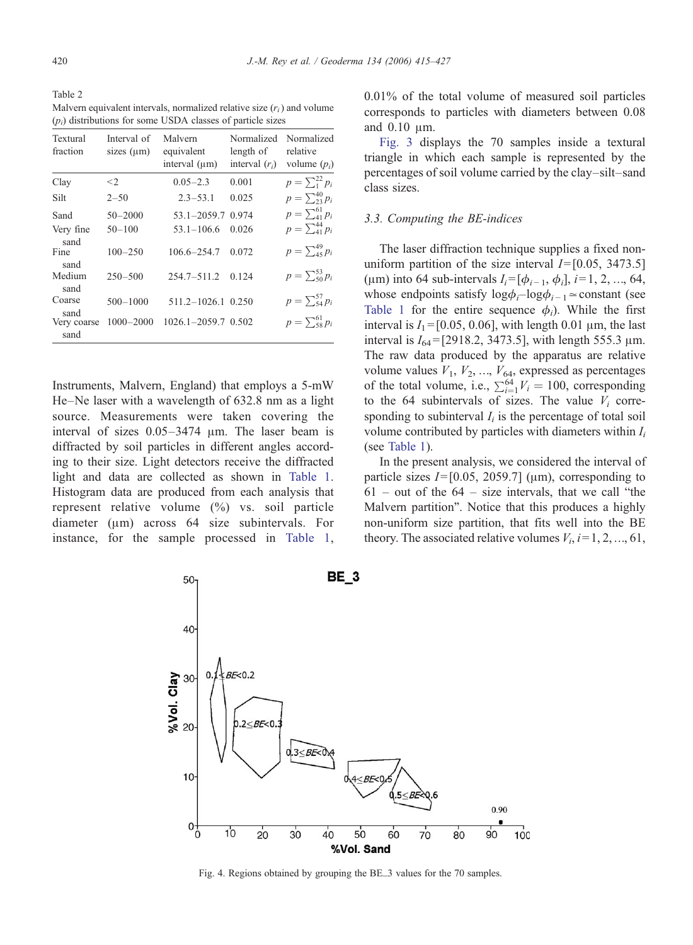<span id="page-5-0"></span>Table 2 Malvern equivalent intervals, normalized relative size  $(r_i)$  and volume  $(p_i)$  distributions for some USDA classes of particle sizes

| Textural<br>fraction | Interval of<br>sizes $(\mu m)$ | Malvern<br>equivalent<br>interval (um) | Normalized<br>length of<br>interval $(r_i)$ | Normalized<br>relative<br>volume $(p_i)$ |
|----------------------|--------------------------------|----------------------------------------|---------------------------------------------|------------------------------------------|
| Clay                 | $\leq$ 2                       | $0.05 - 2.3$                           | 0.001                                       | $p = \sum_{1}^{22} p_i$                  |
| Silt                 | $2 - 50$                       | $2.3 - 53.1$                           | 0.025                                       | $p = \sum_{i=1}^{40} p_i$                |
| Sand                 | $50 - 2000$                    | $53.1 - 2059.7$                        | 0.974                                       | $p = \sum_{i=1}^{61} p_i$                |
| Very fine<br>sand    | $50 - 100$                     | $53.1 - 106.6$                         | 0.026                                       | $p = \sum_{41}^{44} p_i$                 |
| Fine<br>sand         | $100 - 250$                    | 106.6-254.7                            | 0.072                                       | $p = \sum_{45}^{49} p_i$                 |
| Medium<br>sand       | $250 - 500$                    | $254.7 - 511.2$                        | 0.124                                       | $p = \sum_{50}^{53} p_i$                 |
| Coarse<br>sand       | $500 - 1000$                   | 511.2-1026.1 0.250                     |                                             | $p = \sum_{54}^{57} p_i$                 |
| Very coarse<br>sand  | $1000 - 2000$                  | 1026.1-2059.7 0.502                    |                                             | $p = \sum_{58}^{61} p_i$                 |

Instruments, Malvern, England) that employs a 5-mW He–Ne laser with a wavelength of 632.8 nm as a light source. Measurements were taken covering the interval of sizes 0.05–3474 μm. The laser beam is diffracted by soil particles in different angles according to their size. Light detectors receive the diffracted light and data are collected as shown in [Table 1.](#page-4-0) Histogram data are produced from each analysis that represent relative volume (%) vs. soil particle diameter (μm) across 64 size subintervals. For instance, for the sample processed in [Table 1,](#page-4-0)

0.01% of the total volume of measured soil particles corresponds to particles with diameters between 0.08 and 0.10 μm.

[Fig. 3](#page-4-0) displays the 70 samples inside a textural triangle in which each sample is represented by the percentages of soil volume carried by the clay–silt–sand class sizes.

# 3.3. Computing the BE-indices

The laser diffraction technique supplies a fixed nonuniform partition of the size interval  $I=[0.05, 3473.5]$ (um) into 64 sub-intervals  $I_i = [\phi_{i-1}, \phi_i], i = 1, 2, ..., 64,$ whose endpoints satisfy  $log\phi_i - log\phi_{i-1} \approx$ constant (see [Table 1](#page-4-0) for the entire sequence  $\phi_i$ ). While the first interval is  $I_1 = [0.05, 0.06]$ , with length 0.01  $\mu$ m, the last interval is  $I_{64}$  = [2918.2, 3473.5], with length 555.3  $\mu$ m. The raw data produced by the apparatus are relative volume values  $V_1$ ,  $V_2$ , ...,  $V_{64}$ , expressed as percentages of the total volume, i.e.,  $\sum_{i=1}^{64} V_i = 100$ , corresponding<br>to the 64 subintervals of sizes. The value V, correto the 64 subintervals of sizes. The value  $V_i$  corresponding to subinterval  $I_i$  is the percentage of total soil volume contributed by particles with diameters within  $I_i$ (see [Table 1\)](#page-4-0).

In the present analysis, we considered the interval of particle sizes  $I=[0.05, 2059.7]$  ( $\mu$ m), corresponding to  $61$  – out of the  $64$  – size intervals, that we call "the Malvern partition". Notice that this produces a highly non-uniform size partition, that fits well into the BE theory. The associated relative volumes  $V_i$ ,  $i=1, 2, ..., 61$ ,



Fig. 4. Regions obtained by grouping the BE\_3 values for the 70 samples.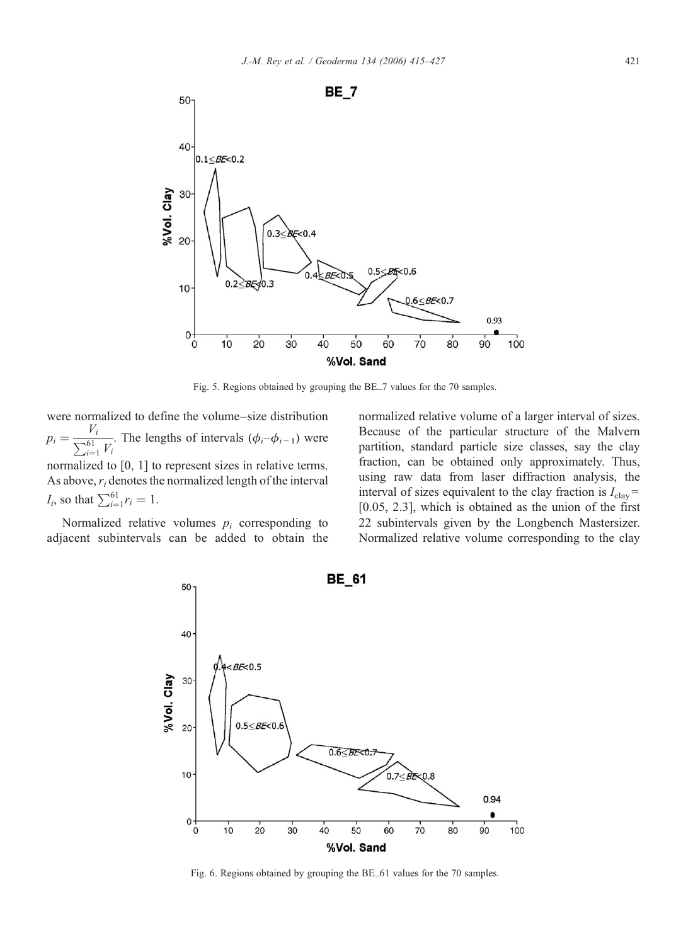<span id="page-6-0"></span>

Fig. 5. Regions obtained by grouping the BE\_7 values for the 70 samples.

were normalized to define the volume–size distribution  $p_i = \frac{V_i}{\sum_{i=1}^{61} V_i}$ . The lengths of intervals  $(\phi_i-\phi_{i-1})$  were normalized to [0, 1] to represent sizes in relative terms. As above,  $r_i$  denotes the normalized length of the interval  $I_i$ , so that  $\sum_{i=1}^{61} r_i = 1$ .

Normalized relative volumes  $p_i$  corresponding to adjacent subintervals can be added to obtain the normalized relative volume of a larger interval of sizes. Because of the particular structure of the Malvern partition, standard particle size classes, say the clay fraction, can be obtained only approximately. Thus, using raw data from laser diffraction analysis, the interval of sizes equivalent to the clay fraction is  $I_{\text{clav}}=$ [0.05, 2.3], which is obtained as the union of the first 22 subintervals given by the Longbench Mastersizer. Normalized relative volume corresponding to the clay



Fig. 6. Regions obtained by grouping the BE\_61 values for the 70 samples.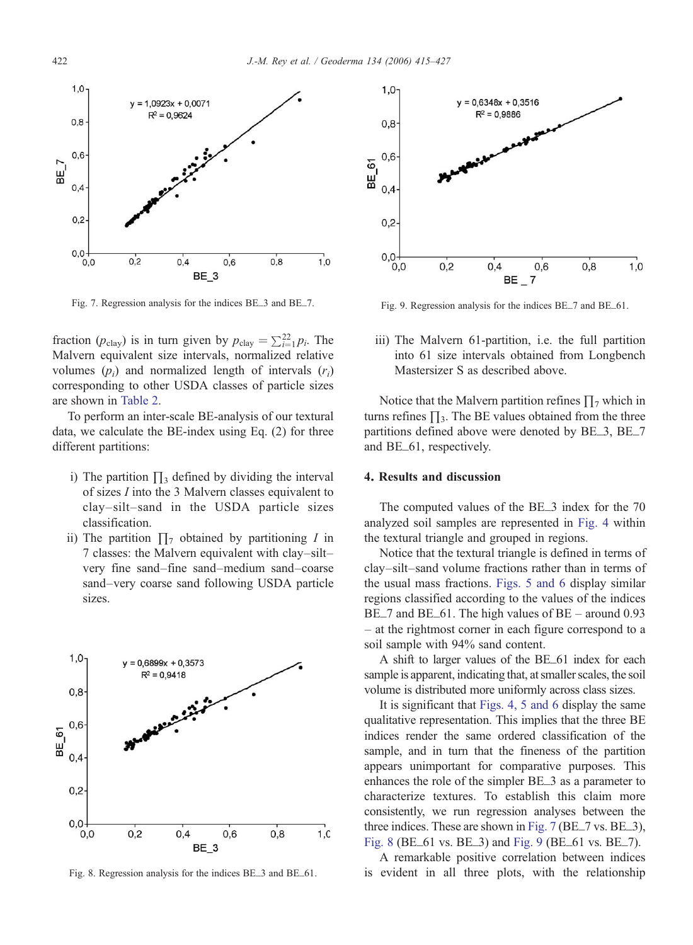<span id="page-7-0"></span>

Fig. 7. Regression analysis for the indices BE\_3 and BE\_7.

fraction ( $p_{\text{clay}}$ ) is in turn given by  $p_{\text{clay}} = \sum_{i=1}^{22} p_i$ . The Malvern equivalent size intervals normalized relative Malvern equivalent size intervals, normalized relative volumes  $(p_i)$  and normalized length of intervals  $(r_i)$ corresponding to other USDA classes of particle sizes are shown in [Table 2](#page-5-0).

To perform an inter-scale BE-analysis of our textural data, we calculate the BE-index using Eq. (2) for three different partitions:

- i) The partition  $\prod_3$  defined by dividing the interval of sizes I into the 3 Malvern classes equivalent to clay–silt–sand in the USDA particle sizes classification.
- ii) The partition  $\prod_{\tau}$  obtained by partitioning I in 7 classes: the Malvern equivalent with clay–silt– very fine sand–fine sand–medium sand–coarse sand–very coarse sand following USDA particle sizes.



Fig. 8. Regression analysis for the indices BE\_3 and BE\_61.



Fig. 9. Regression analysis for the indices BE\_7 and BE\_61.

iii) The Malvern 61-partition, i.e. the full partition into 61 size intervals obtained from Longbench Mastersizer S as described above.

Notice that the Malvern partition refines  $\prod_7$  which in turns refines  $\prod_3$ . The BE values obtained from the three partitions defined above were denoted by BE\_3, BE\_7 and BE\_61, respectively.

#### 4. Results and discussion

The computed values of the BE\_3 index for the 70 analyzed soil samples are represented in [Fig. 4](#page-5-0) within the textural triangle and grouped in regions.

Notice that the textural triangle is defined in terms of clay–silt–sand volume fractions rather than in terms of the usual mass fractions. [Figs. 5 and 6](#page-6-0) display similar regions classified according to the values of the indices BE\_7 and BE\_61. The high values of BE – around 0.93 – at the rightmost corner in each figure correspond to a soil sample with 94% sand content.

A shift to larger values of the BE\_61 index for each sample is apparent, indicating that, at smaller scales, the soil volume is distributed more uniformly across class sizes.

It is significant that [Figs. 4, 5 and 6](#page-5-0) display the same qualitative representation. This implies that the three BE indices render the same ordered classification of the sample, and in turn that the fineness of the partition appears unimportant for comparative purposes. This enhances the role of the simpler BE\_3 as a parameter to characterize textures. To establish this claim more consistently, we run regression analyses between the three indices. These are shown in Fig. 7 (BE\_7 vs. BE\_3), Fig. 8 (BE\_61 vs. BE\_3) and Fig. 9 (BE\_61 vs. BE\_7).

A remarkable positive correlation between indices is evident in all three plots, with the relationship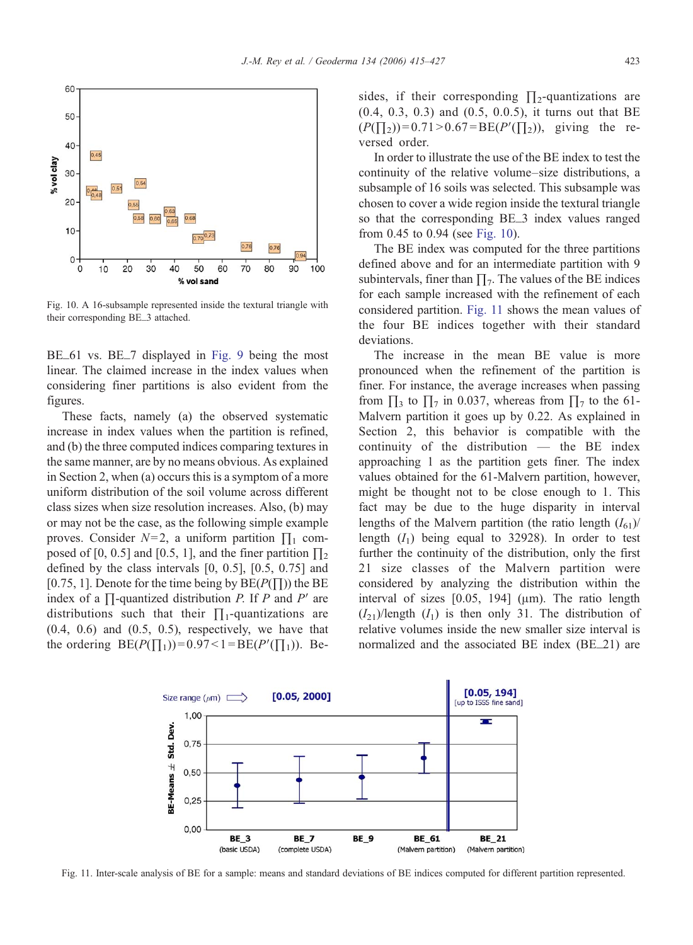<span id="page-8-0"></span>

Fig. 10. A 16-subsample represented inside the textural triangle with their corresponding BE\_3 attached.

BE\_61 vs. BE\_7 displayed in [Fig. 9](#page-7-0) being the most linear. The claimed increase in the index values when considering finer partitions is also evident from the figures.

These facts, namely (a) the observed systematic increase in index values when the partition is refined, and (b) the three computed indices comparing textures in the same manner, are by no means obvious. As explained in Section 2, when (a) occurs this is a symptom of a more uniform distribution of the soil volume across different class sizes when size resolution increases. Also, (b) may or may not be the case, as the following simple example proves. Consider  $N=2$ , a uniform partition  $\prod_1$  composed of [0, 0.5] and [0.5, 1], and the finer partition  $\prod_2$ defined by the class intervals [0, 0.5], [0.5, 0.75] and [0.75, 1]. Denote for the time being by  $BE(P(\Pi))$  the BE index of a  $\Pi$ -quantized distribution P. If P and P' are distributions such that their  $\prod_1$ -quantizations are  $(0.4, 0.6)$  and  $(0.5, 0.5)$ , respectively, we have that the ordering  $BE(P(\Pi_1))=0.97<1=BE(P'(\Pi_1))$ . Besides, if their corresponding  $\prod_2$ -quantizations are (0.4, 0.3, 0.3) and (0.5, 0.0.5), it turns out that BE  $(P(\Pi_2))=0.71>0.67=BE(P'(\Pi_2))$ , giving the reversed order.

In order to illustrate the use of the BE index to test the continuity of the relative volume–size distributions, a subsample of 16 soils was selected. This subsample was chosen to cover a wide region inside the textural triangle so that the corresponding BE\_3 index values ranged from 0.45 to 0.94 (see Fig. 10).

The BE index was computed for the three partitions defined above and for an intermediate partition with 9 subintervals, finer than  $\Pi_7$ . The values of the BE indices for each sample increased with the refinement of each considered partition. Fig. 11 shows the mean values of the four BE indices together with their standard deviations.

The increase in the mean BE value is more pronounced when the refinement of the partition is finer. For instance, the average increases when passing from  $\prod_3$  to  $\prod_7$  in 0.037, whereas from  $\prod_7$  to the 61-Malvern partition it goes up by 0.22. As explained in Section 2, this behavior is compatible with the continuity of the distribution — the BE index approaching 1 as the partition gets finer. The index values obtained for the 61-Malvern partition, however, might be thought not to be close enough to 1. This fact may be due to the huge disparity in interval lengths of the Malvern partition (the ratio length  $(I_{61})/$ length  $(I_1)$  being equal to 32928). In order to test further the continuity of the distribution, only the first 21 size classes of the Malvern partition were considered by analyzing the distribution within the interval of sizes [0.05, 194] (μm). The ratio length  $(I_{21})$ /length  $(I_1)$  is then only 31. The distribution of relative volumes inside the new smaller size interval is normalized and the associated BE index (BE\_21) are



Fig. 11. Inter-scale analysis of BE for a sample: means and standard deviations of BE indices computed for different partition represented.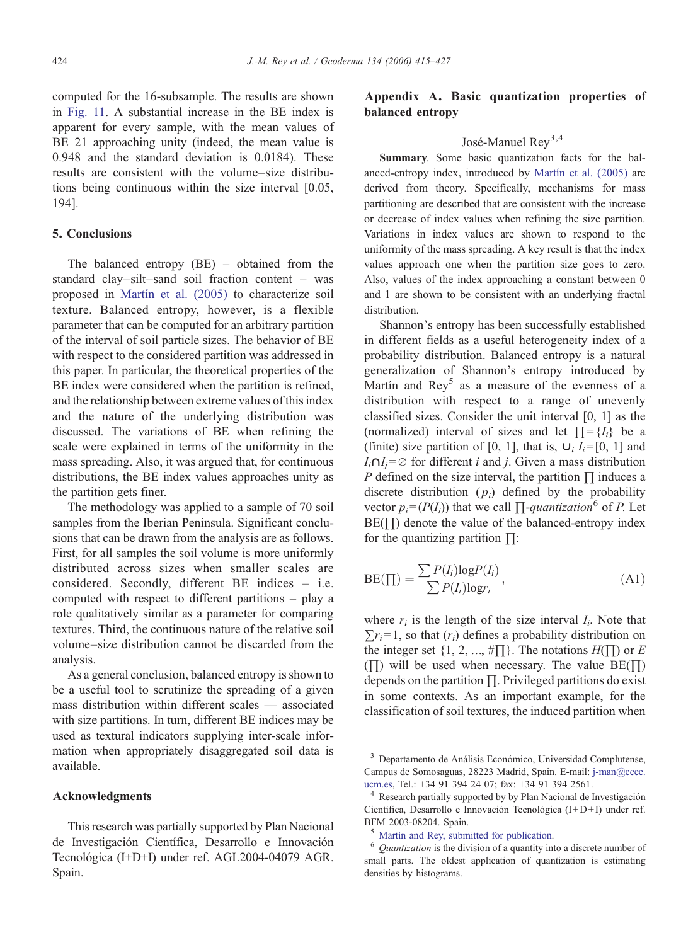computed for the 16-subsample. The results are shown in [Fig. 11.](#page-8-0) A substantial increase in the BE index is apparent for every sample, with the mean values of BE\_21 approaching unity (indeed, the mean value is 0.948 and the standard deviation is 0.0184). These results are consistent with the volume–size distributions being continuous within the size interval [0.05, 194].

# 5. Conclusions

The balanced entropy (BE) – obtained from the standard clay–silt–sand soil fraction content – was proposed in [Martín et al. \(2005\)](#page-12-0) to characterize soil texture. Balanced entropy, however, is a flexible parameter that can be computed for an arbitrary partition of the interval of soil particle sizes. The behavior of BE with respect to the considered partition was addressed in this paper. In particular, the theoretical properties of the BE index were considered when the partition is refined, and the relationship between extreme values of this index and the nature of the underlying distribution was discussed. The variations of BE when refining the scale were explained in terms of the uniformity in the mass spreading. Also, it was argued that, for continuous distributions, the BE index values approaches unity as the partition gets finer.

The methodology was applied to a sample of 70 soil samples from the Iberian Peninsula. Significant conclusions that can be drawn from the analysis are as follows. First, for all samples the soil volume is more uniformly distributed across sizes when smaller scales are considered. Secondly, different BE indices – i.e. computed with respect to different partitions – play a role qualitatively similar as a parameter for comparing textures. Third, the continuous nature of the relative soil volume–size distribution cannot be discarded from the analysis.

As a general conclusion, balanced entropy is shown to be a useful tool to scrutinize the spreading of a given mass distribution within different scales — associated with size partitions. In turn, different BE indices may be used as textural indicators supplying inter-scale information when appropriately disaggregated soil data is available.

## Acknowledgments

This research was partially supported by Plan Nacional de Investigación Científica, Desarrollo e Innovación Tecnológica (I+D+I) under ref. AGL2004-04079 AGR. Spain.

# Appendix A. Basic quantization properties of balanced entropy

# José-Manuel Rey<sup>3,4</sup>

Summary. Some basic quantization facts for the balanced-entropy index, introduced by [Martín et al. \(2005\)](#page-12-0) are derived from theory. Specifically, mechanisms for mass partitioning are described that are consistent with the increase or decrease of index values when refining the size partition. Variations in index values are shown to respond to the uniformity of the mass spreading. A key result is that the index values approach one when the partition size goes to zero. Also, values of the index approaching a constant between 0 and 1 are shown to be consistent with an underlying fractal distribution.

Shannon's entropy has been successfully established in different fields as a useful heterogeneity index of a probability distribution. Balanced entropy is a natural generalization of Shannon's entropy introduced by Martín and  $\text{Rey}^5$  as a measure of the evenness of a distribution with respect to a range of unevenly classified sizes. Consider the unit interval [0, 1] as the (normalized) interval of sizes and let  $\Pi = \{I_i\}$  be a (finite) size partition of [0, 1], that is,  $\mathbf{U}_i I_i = [0, 1]$  and  $I_i \cap I_j = \emptyset$  for different *i* and *j*. Given a mass distribution P defined on the size interval, the partition  $\prod$  induces a discrete distribution  $(p_i)$  defined by the probability vector  $p_i = (P(I_i))$  that we call  $\prod$ -quantization<sup>6</sup> of P. Let  $BE(\Pi)$  denote the value of the balanced-entropy index for the quantizing partition  $\Pi$ :

$$
BE(\Pi) = \frac{\sum P(I_i) \log P(I_i)}{\sum P(I_i) \log r_i},
$$
\n(A1)

where  $r_i$  is the length of the size interval  $I_i$ . Note that  $\sum r_i = 1$ , so that  $(r_i)$  defines a probability distribution on the integer set  $\{1, 2, ..., \# \Pi\}$ . The notations  $H(\Pi)$  or E  $(\Pi)$  will be used when necessary. The value BE( $\Pi$ ) depends on the partition ∏. Privileged partitions do exist in some contexts. As an important example, for the classification of soil textures, the induced partition when

<sup>3</sup> Departamento de Análisis Económico, Universidad Complutense, Campus de Somosaguas, 28223 Madrid, Spain. E-mail: [j-man@ccee.](mailto:jan@ccee.ucm.es) [ucm.es](mailto:jan@ccee.ucm.es), Tel.: +34 91 394 24 07; fax: +34 91 394 2561. <sup>4</sup> Research partially supported by by Plan Nacional de Investigación

Científica, Desarrollo e Innovación Tecnológica  $(I+D+I)$  under ref. BFM 2003-08204. Spain.

<sup>&</sup>lt;sup>5</sup> [Martín and Rey, submitted for publication.](#page-12-0)<br><sup>6</sup> Quantization is the division of a quantity into a discrete number of small parts. The oldest application of quantization is estimating densities by histograms.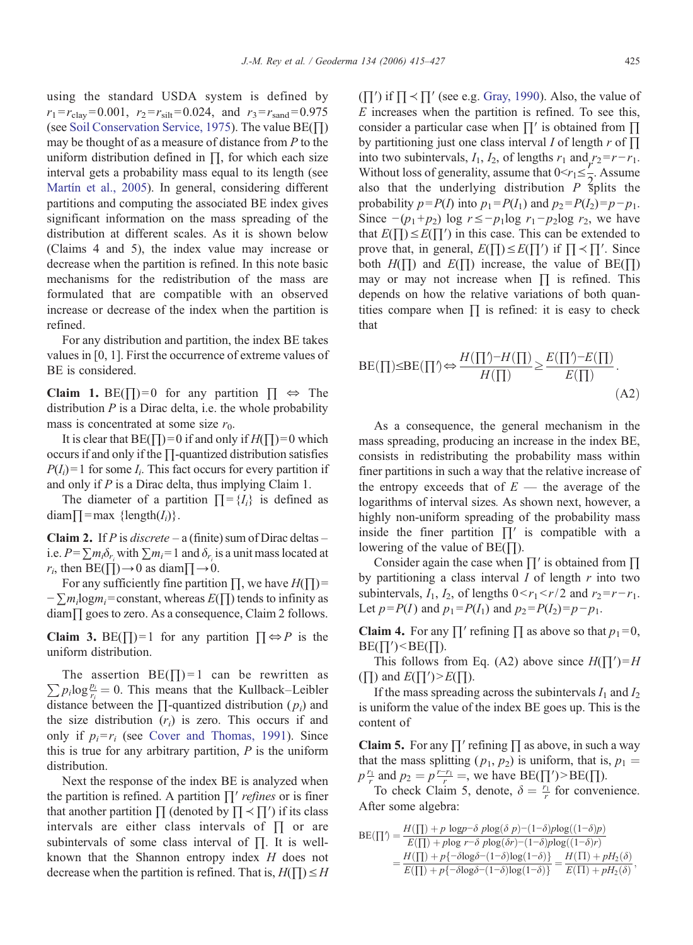using the standard USDA system is defined by  $r_1 = r_{\text{clav}} = 0.001$ ,  $r_2 = r_{\text{silt}} = 0.024$ , and  $r_3 = r_{\text{sand}} = 0.975$ (see [Soil Conservation Service, 1975\)](#page-12-0). The value BE(∏) may be thought of as a measure of distance from  $P$  to the uniform distribution defined in  $\Pi$ , for which each size interval gets a probability mass equal to its length (see [Martín et al., 2005\)](#page-12-0). In general, considering different partitions and computing the associated BE index gives significant information on the mass spreading of the distribution at different scales. As it is shown below (Claims 4 and 5), the index value may increase or decrease when the partition is refined. In this note basic mechanisms for the redistribution of the mass are formulated that are compatible with an observed increase or decrease of the index when the partition is refined.

For any distribution and partition, the index BE takes values in [0, 1]. First the occurrence of extreme values of BE is considered.

Claim 1. BE( $\Box$ ) = 0 for any partition  $\Box \Leftrightarrow$  The distribution  $P$  is a Dirac delta, i.e. the whole probability mass is concentrated at some size  $r_0$ .

It is clear that BE( $\Box$ ) = 0 if and only if  $H(\Box) = 0$  which occurs if and only if the ∏-quantized distribution satisfies  $P(I_i) = 1$  for some  $I_i$ . This fact occurs for every partition if and only if P is a Dirac delta, thus implying Claim 1.

The diameter of a partition  $\prod = \{I_i\}$  is defined as  $diam\prod = max$  {length( $I_i$ )}.

**Claim 2.** If P is discrete – a (finite) sum of Dirac deltas – i.e.  $P = \sum m_i \delta_{r_i}$  with  $\sum m_i = 1$  and  $\delta_{r_i}$  is a unit mass located at  $r_i$ , then BE( $\Box$ )  $\rightarrow$  0 as diam $\Box \rightarrow 0$ .

For any sufficiently fine partition  $\prod$ , we have  $H(\prod)$  =  $-\sum m_i \log m_i$ = constant, whereas  $E(\Pi)$  tends to infinity as diam∏ goes to zero. As a consequence, Claim 2 follows.

Claim 3. BE( $\Box$ ) = 1 for any partition  $\Box \Leftrightarrow P$  is the uniform distribution.

 $\sum p_i \log \frac{p_i}{r_i} = 0$ . This means that the Kullback–Leibler The assertion  $BE(\Pi) = 1$  can be rewritten as distance between the  $\Pi$ -quantized distribution ( $p_i$ ) and the size distribution  $(r_i)$  is zero. This occurs if and only if  $p_i = r_i$  (see [Cover and Thomas, 1991](#page-12-0)). Since this is true for any arbitrary partition,  $P$  is the uniform distribution.

Next the response of the index BE is analyzed when the partition is refined. A partition  $\prod'$  refines or is finer that another partition  $\prod$  (denoted by  $\prod$   $\prec$   $\prod'$ ) if its class intervals are either class intervals of ∏ or are subintervals of some class interval of ∏. It is wellknown that the Shannon entropy index H does not decrease when the partition is refined. That is,  $H(\Pi) \leq H$   $(\Pi')$  if  $\Pi \prec \Pi'$  (see e.g. [Gray, 1990](#page-12-0)). Also, the value of E increases when the partition is refined. To see this, consider a particular case when ∏′ is obtained from ∏ by partitioning just one class interval I of length  $r$  of  $\prod$ into two subintervals,  $I_1$ ,  $I_2$ , of lengths  $r_1$  and  $r_2=r-r_1$ . Without loss of generality, assume that  $0 \le r_1 \le \frac{1}{2}$ . Assume also that the underlying distribution  $P$  splits the probability  $p = P(I)$  into  $p_1 = P(I_1)$  and  $p_2 = P(I_2) = p - p_1$ . Since  $-(p_1+p_2)$  log  $r \le -p_1\log r_1-p_2\log r_2$ , we have that  $E(\Pi) \leq E(\Pi')$  in this case. This can be extended to prove that, in general,  $E(\Pi) \leq E(\Pi')$  if  $\Pi \leq \Pi'$ . Since both  $H(\Pi)$  and  $E(\Pi)$  increase, the value of BE( $\Pi$ ) may or may not increase when  $\Pi$  is refined. This depends on how the relative variations of both quantities compare when  $\prod$  is refined: it is easy to check that

$$
BE(\Pi) \le BE(\Pi') \Leftrightarrow \frac{H(\Pi') - H(\Pi)}{H(\Pi)} \ge \frac{E(\Pi') - E(\Pi)}{E(\Pi)}.
$$
\n(A2)

As a consequence, the general mechanism in the mass spreading, producing an increase in the index BE, consists in redistributing the probability mass within finer partitions in such a way that the relative increase of the entropy exceeds that of  $E$  — the average of the logarithms of interval sizes. As shown next, however, a highly non-uniform spreading of the probability mass inside the finer partition  $\prod'$  is compatible with a lowering of the value of  $BE(\Pi)$ .

Consider again the case when  $\Pi'$  is obtained from  $\Pi$ by partitioning a class interval  $I$  of length  $r$  into two subintervals,  $I_1$ ,  $I_2$ , of lengths  $0 < r_1 < r/2$  and  $r_2 = r-r_1$ . Let  $p = P(I)$  and  $p_1 = P(I_1)$  and  $p_2 = P(I_2) = p - p_1$ .

**Claim 4.** For any  $\prod'$  refining  $\prod$  as above so that  $p_1 = 0$ ,  $BE(\Pi') < BE(\Pi)$ .

This follows from Eq. (A2) above since  $H(\Pi')=H$  $(\Pi)$  and  $E(\Pi')\geq E(\Pi)$ .

If the mass spreading across the subintervals  $I_1$  and  $I_2$ is uniform the value of the index BE goes up. This is the content of

**Claim 5.** For any  $\prod'$  refining  $\prod$  as above, in such a way that the mass splitting  $(p_1, p_2)$  is uniform, that is,  $p_1 =$  $p \frac{r_1}{r}$  and  $p_2 = p \frac{r - r_1}{r} =$ , we have BE( $\prod$ )>BE( $\prod$ ).<br>To check Claim 5, denote  $\delta = \frac{r_1}{r}$  for convert

To check Claim 5, denote,  $\delta = \frac{r_1}{r}$  for convenience. After some algebra:

$$
BE(\Pi') = \frac{H(\Pi) + p \log p - \delta p \log(\delta p) - (1 - \delta) p \log((1 - \delta)p)}{E(\Pi) + p \log r - \delta p \log(\delta r) - (1 - \delta) p \log((1 - \delta)r)}
$$
  
= 
$$
\frac{H(\Pi) + p \{-\delta \log \delta - (1 - \delta) \log(1 - \delta) \}}{E(\Pi) + p \{-\delta \log \delta - (1 - \delta) \log(1 - \delta) \}} = \frac{H(\Pi) + pH_2(\delta)}{E(\Pi) + pH_2(\delta)},
$$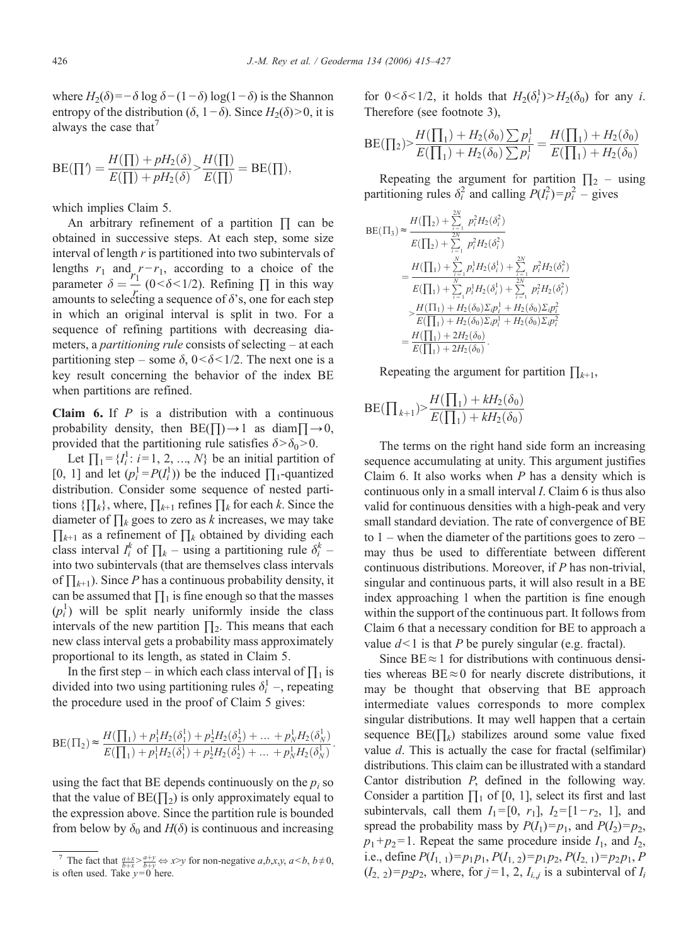where  $H_2(\delta) = -\delta \log \delta - (1-\delta) \log(1-\delta)$  is the Shannon entropy of the distribution ( $\delta$ , 1– $\delta$ ). Since  $H_2(\delta) > 0$ , it is always the case that<sup>7</sup>

$$
BE(\prod') = \frac{H(\prod) + pH_2(\delta)}{E(\prod) + pH_2(\delta)} > \frac{H(\prod)}{E(\prod)} = BE(\prod),
$$

which implies Claim 5.

An arbitrary refinement of a partition ∏ can be obtained in successive steps. At each step, some size interval of length  $r$  is partitioned into two subintervals of lengths  $r_1$  and  $r-r_1$ , according to a choice of the parameter  $\delta = \frac{r_1}{r_1} (0 < \delta < 1/2)$ . Refining  $\prod$  in this way amounts to selecting a sequence of  $\delta$ 's, one for each step in which an original interval is split in two. For a sequence of refining partitions with decreasing diameters, a *partitioning rule* consists of selecting – at each partitioning step – some  $\delta$ ,  $0 < \delta < 1/2$ . The next one is a key result concerning the behavior of the index BE when partitions are refined.

**Claim 6.** If  $P$  is a distribution with a continuous probability density, then  $BE(\Pi) \rightarrow 1$  as diam $\Pi \rightarrow 0$ , provided that the partitioning rule satisfies  $\delta > \delta_0 > 0$ .

Let  $\prod_1 = \{I_i^1 : i = 1, 2, ..., N\}$  be an initial partition of [0, 1] and let  $(p_i^1 = P(I_i^1))$  be the induced  $\prod_1$ -quantized distribution. Consider some sequence of nested partitions  $\{\prod_k\}$ , where,  $\prod_{k+1}$  refines  $\prod_k$  for each k. Since the diameter of  $\prod_k$  goes to zero as k increases, we may take  $\prod_{k+1}$  as a refinement of  $\prod_k$  obtained by dividing each class interval  $I_i^k$  of  $\prod_k$  – using a partitioning rule  $\delta_i^k$  – into two subintervals (that are themselves class intervals of  $\prod_{k+1}$ ). Since P has a continuous probability density, it can be assumed that  $\prod_1$  is fine enough so that the masses  $(p_i^1)$  will be split nearly uniformly inside the class intervals of the new partition  $\prod_2$ . This means that each new class interval gets a probability mass approximately proportional to its length, as stated in Claim 5.

In the first step – in which each class interval of  $\prod_1$  is divided into two using partitioning rules  $\delta_i^1$  –, repeating the procedure used in the proof of Claim 5 gives:

$$
BE(\Pi_2) \approx \frac{H(\prod_1) + p_1^1 H_2(\delta_1^1) + p_2^1 H_2(\delta_2^1) + \dots + p_N^1 H_2(\delta_N^1)}{E(\prod_1) + p_1^1 H_2(\delta_1^1) + p_2^1 H_2(\delta_2^1) + \dots + p_N^1 H_2(\delta_N^1)}.
$$

using the fact that BE depends continuously on the  $p_i$  so that the value of  $BE(\Pi_2)$  is only approximately equal to the expression above. Since the partition rule is bounded from below by  $\delta_0$  and  $H(\delta)$  is continuous and increasing for  $0 < \delta < 1/2$ , it holds that  $H_2(\delta_i^1) > H_2(\delta_0)$  for any i. Therefore (see footnote 3),

$$
BE(\prod_2) > \frac{H(\prod_1) + H_2(\delta_0) \sum p_i^1}{E(\prod_1) + H_2(\delta_0) \sum p_i^1} = \frac{H(\prod_1) + H_2(\delta_0)}{E(\prod_1) + H_2(\delta_0)}
$$

Repeating the argument for partition  $\prod_2$  – using partitioning rules  $\delta_i^2$  and calling  $P(I_i^2) = p_i^2 -$  gives

$$
BE(\Pi_{3}) \approx \frac{H(\prod_{2}) + \sum_{i=1}^{2N} p_{i}^{2}H_{2}(\delta_{i}^{2})}{E(\prod_{2}) + \sum_{i=1}^{2N} p_{i}^{2}H_{2}(\delta_{i}^{2})}
$$
  
= 
$$
\frac{H(\prod_{1}) + \sum_{i=1}^{N} p_{i}^{1}H_{2}(\delta_{i}^{1}) + \sum_{i=1}^{2N} p_{i}^{2}H_{2}(\delta_{i}^{2})}{E(\prod_{1}) + \sum_{i=1}^{N} p_{i}^{1}H_{2}(\delta_{i}^{1}) + \sum_{i=1}^{2N} p_{i}^{2}H_{2}(\delta_{i}^{2})}
$$
  

$$
> \frac{H(\Pi_{1}) + H_{2}(\delta_{0})\Sigma_{i}p_{i}^{1} + H_{2}(\delta_{0})\Sigma_{i}p_{i}^{2}}{E(\prod_{1}) + H_{2}(\delta_{0})\Sigma_{i}p_{i}^{1} + H_{2}(\delta_{0})\Sigma_{i}p_{i}^{2}}
$$
  
= 
$$
\frac{H(\prod_{1}) + 2H_{2}(\delta_{0})}{E(\prod_{1}) + 2H_{2}(\delta_{0})}.
$$

Repeating the argument for partition  $\prod_{k+1}$ ,

$$
BE(\prod_{k+1}) > \frac{H(\prod_1) + kH_2(\delta_0)}{E(\prod_1) + kH_2(\delta_0)}
$$

The terms on the right hand side form an increasing sequence accumulating at unity. This argument justifies Claim 6. It also works when  $P$  has a density which is continuous only in a small interval I. Claim 6 is thus also valid for continuous densities with a high-peak and very small standard deviation. The rate of convergence of BE to  $1$  – when the diameter of the partitions goes to zero – may thus be used to differentiate between different continuous distributions. Moreover, if P has non-trivial, singular and continuous parts, it will also result in a BE index approaching 1 when the partition is fine enough within the support of the continuous part. It follows from Claim 6 that a necessary condition for BE to approach a value  $d < 1$  is that P be purely singular (e.g. fractal).

Since  $BE \approx 1$  for distributions with continuous densities whereas  $BE \approx 0$  for nearly discrete distributions, it may be thought that observing that BE approach intermediate values corresponds to more complex singular distributions. It may well happen that a certain sequence  $BE(\prod_k)$  stabilizes around some value fixed value  $d$ . This is actually the case for fractal (selfimilar) distributions. This claim can be illustrated with a standard Cantor distribution P, defined in the following way. Consider a partition  $\prod_1$  of [0, 1], select its first and last subintervals, call them  $I_1=[0, r_1], I_2=[1-r_2, 1],$  and spread the probability mass by  $P(I_1)=p_1$ , and  $P(I_2)=p_2$ ,  $p_1+p_2=1$ . Repeat the same procedure inside  $I_1$ , and  $I_2$ , i.e., define  $P(I_{1, 1})=p_1p_1$ ,  $P(I_{1, 2})=p_1p_2$ ,  $P(I_{2, 1})=p_2p_1$ ,  $P$  $(I_{2, 2})=p_2p_2$ , where, for  $j=1, 2, I_{i,j}$  is a subinterval of  $I_i$ 

The fact that  $\frac{a+x}{b+y} \underset{y=0}{\leftrightarrow} x \rightarrow y$  for non-negative  $a,b,x,y$ ,  $a < b$ ,  $b \neq 0$ , often used. Take u=0 here is often used. Take  $y=0$  here.